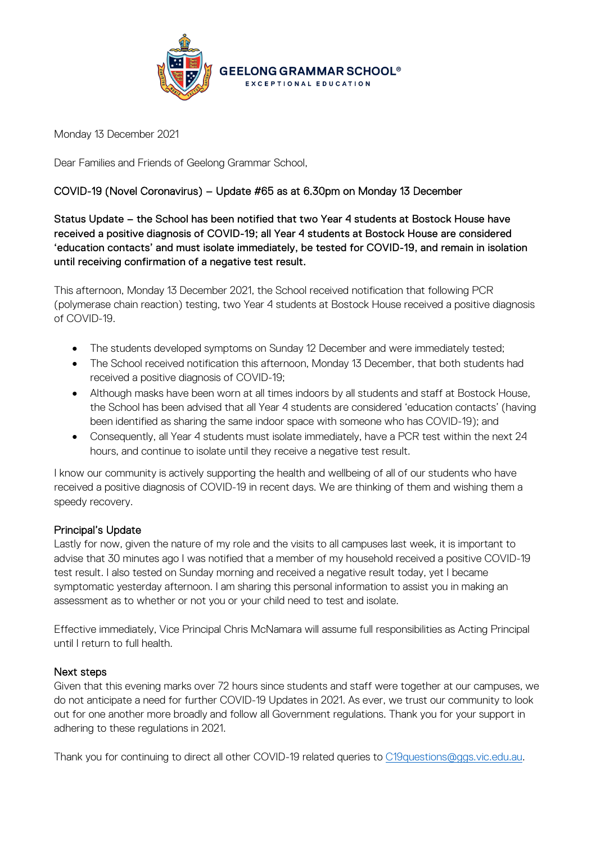

Monday 13 December 2021

Dear Families and Friends of Geelong Grammar School,

## COVID-19 (Novel Coronavirus) – Update #65 as at 6.30pm on Monday 13 December

Status Update – the School has been notified that two Year 4 students at Bostock House have received a positive diagnosis of COVID-19; all Year 4 students at Bostock House are considered 'education contacts' and must isolate immediately, be tested for COVID-19, and remain in isolation until receiving confirmation of a negative test result.

This afternoon, Monday 13 December 2021, the School received notification that following PCR (polymerase chain reaction) testing, two Year 4 students at Bostock House received a positive diagnosis of COVID-19.

- The students developed symptoms on Sunday 12 December and were immediately tested;
- The School received notification this afternoon, Monday 13 December, that both students had received a positive diagnosis of COVID-19;
- Although masks have been worn at all times indoors by all students and staff at Bostock House, the School has been advised that all Year 4 students are considered 'education contacts' (having been identified as sharing the same indoor space with someone who has COVID-19); and
- Consequently, all Year 4 students must isolate immediately, have a PCR test within the next 24 hours, and continue to isolate until they receive a negative test result.

I know our community is actively supporting the health and wellbeing of all of our students who have received a positive diagnosis of COVID-19 in recent days. We are thinking of them and wishing them a speedy recovery.

## Principal's Update

Lastly for now, given the nature of my role and the visits to all campuses last week, it is important to advise that 30 minutes ago I was notified that a member of my household received a positive COVID-19 test result. I also tested on Sunday morning and received a negative result today, yet I became symptomatic yesterday afternoon. I am sharing this personal information to assist you in making an assessment as to whether or not you or your child need to test and isolate.

Effective immediately, Vice Principal Chris McNamara will assume full responsibilities as Acting Principal until I return to full health.

## Next steps

Given that this evening marks over 72 hours since students and staff were together at our campuses, we do not anticipate a need for further COVID-19 Updates in 2021. As ever, we trust our community to look out for one another more broadly and follow all Government regulations. Thank you for your support in adhering to these regulations in 2021.

Thank you for continuing to direct all other COVID-19 related queries to [C19questions@ggs.vic.edu.au.](mailto:C19questions@ggs.vic.edu.au)